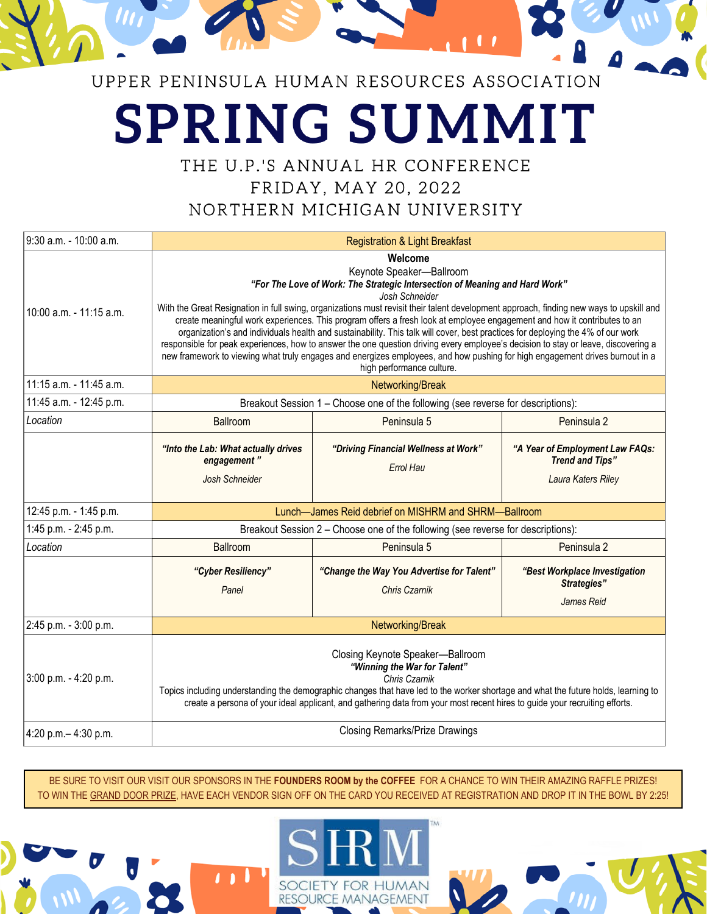# UPPER PENINSULA HUMAN RESOURCES ASSOCIATION

# **SPRING SUMMIT**

THE U.P.'S ANNUAL HR CONFERENCE

FRIDAY, MAY 20, 2022

NORTHERN MICHIGAN UNIVERSITY

| 9:30 a.m. - 10:00 a.m.  | <b>Registration &amp; Light Breakfast</b>                                                                                                                                                                                                                                                                                                                                                                                                                                                                                                                                                                                                                                                                                                                                                                                                         |                                                            |                                                                                 |
|-------------------------|---------------------------------------------------------------------------------------------------------------------------------------------------------------------------------------------------------------------------------------------------------------------------------------------------------------------------------------------------------------------------------------------------------------------------------------------------------------------------------------------------------------------------------------------------------------------------------------------------------------------------------------------------------------------------------------------------------------------------------------------------------------------------------------------------------------------------------------------------|------------------------------------------------------------|---------------------------------------------------------------------------------|
| 10:00 a.m. - 11:15 a.m. | Welcome<br>Keynote Speaker-Ballroom<br>"For The Love of Work: The Strategic Intersection of Meaning and Hard Work"<br>Josh Schneider<br>With the Great Resignation in full swing, organizations must revisit their talent development approach, finding new ways to upskill and<br>create meaningful work experiences. This program offers a fresh look at employee engagement and how it contributes to an<br>organization's and individuals health and sustainability. This talk will cover, best practices for deploying the 4% of our work<br>responsible for peak experiences, how to answer the one question driving every employee's decision to stay or leave, discovering a<br>new framework to viewing what truly engages and energizes employees, and how pushing for high engagement drives burnout in a<br>high performance culture. |                                                            |                                                                                 |
| 11:15 a.m. - 11:45 a.m. | Networking/Break                                                                                                                                                                                                                                                                                                                                                                                                                                                                                                                                                                                                                                                                                                                                                                                                                                  |                                                            |                                                                                 |
| 11:45 a.m. - 12:45 p.m. | Breakout Session 1 - Choose one of the following (see reverse for descriptions):                                                                                                                                                                                                                                                                                                                                                                                                                                                                                                                                                                                                                                                                                                                                                                  |                                                            |                                                                                 |
| Location                | Ballroom                                                                                                                                                                                                                                                                                                                                                                                                                                                                                                                                                                                                                                                                                                                                                                                                                                          | Peninsula 5                                                | Peninsula 2                                                                     |
|                         | "Into the Lab: What actually drives<br>engagement"<br>Josh Schneider                                                                                                                                                                                                                                                                                                                                                                                                                                                                                                                                                                                                                                                                                                                                                                              | "Driving Financial Wellness at Work"<br><b>Errol Hau</b>   | "A Year of Employment Law FAQs:<br><b>Trend and Tips"</b><br>Laura Katers Riley |
| 12:45 p.m. - 1:45 p.m.  | Lunch-James Reid debrief on MISHRM and SHRM-Ballroom                                                                                                                                                                                                                                                                                                                                                                                                                                                                                                                                                                                                                                                                                                                                                                                              |                                                            |                                                                                 |
| 1:45 p.m. - 2:45 p.m.   | Breakout Session 2 - Choose one of the following (see reverse for descriptions):                                                                                                                                                                                                                                                                                                                                                                                                                                                                                                                                                                                                                                                                                                                                                                  |                                                            |                                                                                 |
| Location                | Ballroom                                                                                                                                                                                                                                                                                                                                                                                                                                                                                                                                                                                                                                                                                                                                                                                                                                          | Peninsula 5                                                | Peninsula 2                                                                     |
|                         | "Cyber Resiliency"<br>Panel                                                                                                                                                                                                                                                                                                                                                                                                                                                                                                                                                                                                                                                                                                                                                                                                                       | "Change the Way You Advertise for Talent"<br>Chris Czarnik | "Best Workplace Investigation<br>Strategies"<br>James Reid                      |
| 2:45 p.m. - 3:00 p.m.   | Networking/Break                                                                                                                                                                                                                                                                                                                                                                                                                                                                                                                                                                                                                                                                                                                                                                                                                                  |                                                            |                                                                                 |
| 3:00 p.m. - 4:20 p.m.   | Closing Keynote Speaker-Ballroom<br>"Winning the War for Talent"<br>Chris Czarnik<br>Topics including understanding the demographic changes that have led to the worker shortage and what the future holds, learning to<br>create a persona of your ideal applicant, and gathering data from your most recent hires to guide your recruiting efforts.                                                                                                                                                                                                                                                                                                                                                                                                                                                                                             |                                                            |                                                                                 |
| 4:20 p.m. - 4:30 p.m.   | <b>Closing Remarks/Prize Drawings</b>                                                                                                                                                                                                                                                                                                                                                                                                                                                                                                                                                                                                                                                                                                                                                                                                             |                                                            |                                                                                 |

BE SURE TO VISIT OUR VISIT OUR SPONSORS IN THE FOUNDERS ROOM by the COFFEE FOR A CHANCE TO WIN THEIR AMAZING RAFFLE PRIZES! TO WIN THE GRAND DOOR PRIZE, HAVE EACH VENDOR SIGN OFF ON THE CARD YOU RECEIVED AT REGISTRATION AND DROP IT IN THE BOWL BY 2:25!

**MAN** 

MANAGEMENT